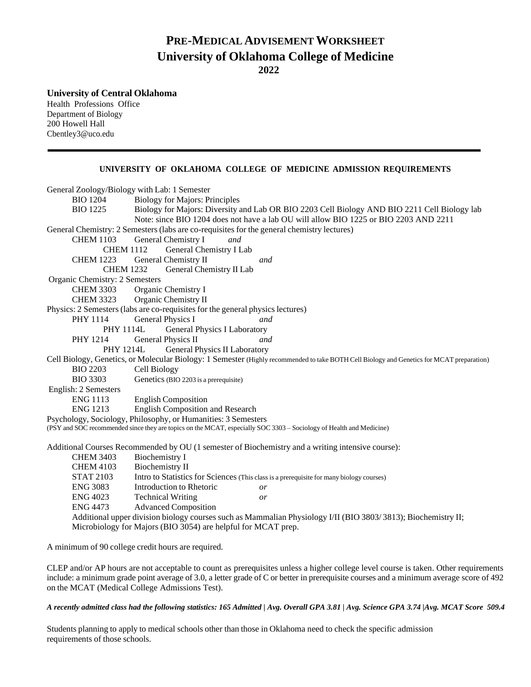# **PRE-MEDICAL ADVISEMENTWORKSHEET University of Oklahoma College of Medicine 2022**

**University of Central Oklahoma**

Health Professions Office Department of Biology 200 Howell Hall [Cbentley3@uco.edu](mailto:Cbentley3@uco.edu)

## **UNIVERSITY OF OKLAHOMA COLLEGE OF MEDICINE ADMISSION REQUIREMENTS**

| General Zoology/Biology with Lab: 1 Semester                                                                                              |                                                                                                               |  |  |
|-------------------------------------------------------------------------------------------------------------------------------------------|---------------------------------------------------------------------------------------------------------------|--|--|
| <b>BIO</b> 1204                                                                                                                           | <b>Biology for Majors: Principles</b>                                                                         |  |  |
| <b>BIO</b> 1225                                                                                                                           | Biology for Majors: Diversity and Lab OR BIO 2203 Cell Biology AND BIO 2211 Cell Biology lab                  |  |  |
|                                                                                                                                           | Note: since BIO 1204 does not have a lab OU will allow BIO 1225 or BIO 2203 AND 2211                          |  |  |
| General Chemistry: 2 Semesters (labs are co-requisites for the general chemistry lectures)                                                |                                                                                                               |  |  |
| <b>CHEM 1103</b>                                                                                                                          | General Chemistry I<br>and                                                                                    |  |  |
| <b>CHEM 1112</b>                                                                                                                          | General Chemistry I Lab                                                                                       |  |  |
| <b>CHEM 1223</b>                                                                                                                          | General Chemistry II<br>and                                                                                   |  |  |
| <b>CHEM 1232</b><br>General Chemistry II Lab                                                                                              |                                                                                                               |  |  |
| Organic Chemistry: 2 Semesters                                                                                                            |                                                                                                               |  |  |
| <b>CHEM 3303</b>                                                                                                                          | Organic Chemistry I                                                                                           |  |  |
| <b>CHEM 3323</b>                                                                                                                          | Organic Chemistry II                                                                                          |  |  |
| Physics: 2 Semesters (labs are co-requisites for the general physics lectures)                                                            |                                                                                                               |  |  |
| <b>PHY 1114</b>                                                                                                                           | General Physics I<br>and                                                                                      |  |  |
| <b>PHY 1114L</b><br>General Physics I Laboratory                                                                                          |                                                                                                               |  |  |
| <b>PHY 1214</b>                                                                                                                           | General Physics II<br>and                                                                                     |  |  |
| <b>PHY 1214L</b>                                                                                                                          | <b>General Physics II Laboratory</b>                                                                          |  |  |
| Cell Biology, Genetics, or Molecular Biology: 1 Semester (Highly recommended to take BOTH Cell Biology and Genetics for MCAT preparation) |                                                                                                               |  |  |
| <b>BIO 2203</b>                                                                                                                           | Cell Biology                                                                                                  |  |  |
| <b>BIO 3303</b>                                                                                                                           | Genetics (BIO 2203 is a prerequisite)                                                                         |  |  |
| English: 2 Semesters                                                                                                                      |                                                                                                               |  |  |
| <b>ENG 1113</b>                                                                                                                           | <b>English Composition</b>                                                                                    |  |  |
| <b>ENG 1213</b>                                                                                                                           | <b>English Composition and Research</b>                                                                       |  |  |
| Psychology, Sociology, Philosophy, or Humanities: 3 Semesters                                                                             |                                                                                                               |  |  |
| (PSY and SOC recommended since they are topics on the MCAT, especially SOC 3303 - Sociology of Health and Medicine)                       |                                                                                                               |  |  |
|                                                                                                                                           | Additional Courses Recommended by OU (1 semester of Biochemistry and a writing intensive course):             |  |  |
| <b>CHEM 3403</b>                                                                                                                          | <b>Biochemistry I</b>                                                                                         |  |  |
| <b>CHEM 4103</b>                                                                                                                          | <b>Biochemistry II</b>                                                                                        |  |  |
| <b>STAT 2103</b>                                                                                                                          | Intro to Statistics for Sciences (This class is a prerequisite for many biology courses)                      |  |  |
| <b>ENG 3083</b>                                                                                                                           | Introduction to Rhetoric<br>or                                                                                |  |  |
| <b>ENG 4023</b>                                                                                                                           | <b>Technical Writing</b><br>or                                                                                |  |  |
| <b>ENG 4473</b>                                                                                                                           | <b>Advanced Composition</b>                                                                                   |  |  |
|                                                                                                                                           | Additional upper division biology courses such as Mammalian Physiology I/II (BIO 3803/3813); Biochemistry II; |  |  |
| Microbiology for Majors (BIO 3054) are helpful for MCAT prep.                                                                             |                                                                                                               |  |  |
|                                                                                                                                           |                                                                                                               |  |  |

A minimum of 90 college credit hours are required.

CLEP and/or AP hours are not acceptable to count as prerequisites unless a higher college level course is taken. Other requirements include: a minimum grade point average of 3.0, a letter grade of C or better in prerequisite courses and a minimum average score of 492 on the MCAT (Medical College Admissions Test).

#### *A recently admitted class had the following statistics: 165 Admitted | Avg. Overall GPA 3.81 | Avg. Science GPA 3.74 |Avg. MCAT Score 509.4*

Students planning to apply to medical schools other than those in Oklahoma need to check the specific admission requirements of those schools.